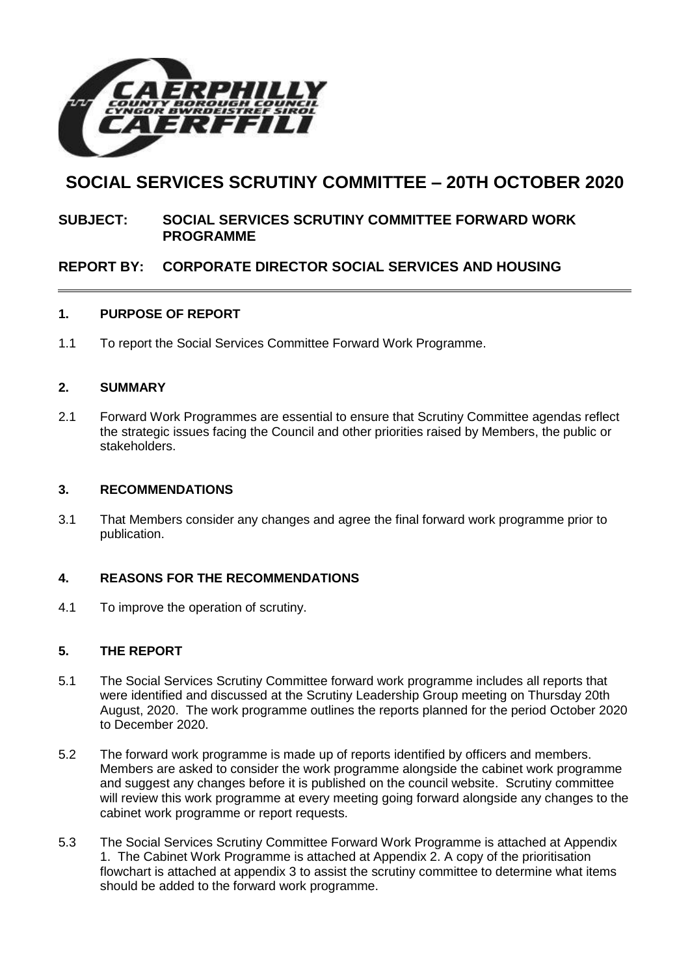

# **SOCIAL SERVICES SCRUTINY COMMITTEE – 20TH OCTOBER 2020**

## **SUBJECT: SOCIAL SERVICES SCRUTINY COMMITTEE FORWARD WORK PROGRAMME**

## **REPORT BY: CORPORATE DIRECTOR SOCIAL SERVICES AND HOUSING**

## **1. PURPOSE OF REPORT**

1.1 To report the Social Services Committee Forward Work Programme.

## **2. SUMMARY**

2.1 Forward Work Programmes are essential to ensure that Scrutiny Committee agendas reflect the strategic issues facing the Council and other priorities raised by Members, the public or stakeholders.

#### **3. RECOMMENDATIONS**

3.1 That Members consider any changes and agree the final forward work programme prior to publication.

## **4. REASONS FOR THE RECOMMENDATIONS**

4.1 To improve the operation of scrutiny.

## **5. THE REPORT**

- 5.1 The Social Services Scrutiny Committee forward work programme includes all reports that were identified and discussed at the Scrutiny Leadership Group meeting on Thursday 20th August, 2020. The work programme outlines the reports planned for the period October 2020 to December 2020.
- 5.2 The forward work programme is made up of reports identified by officers and members. Members are asked to consider the work programme alongside the cabinet work programme and suggest any changes before it is published on the council website. Scrutiny committee will review this work programme at every meeting going forward alongside any changes to the cabinet work programme or report requests.
- 5.3 The Social Services Scrutiny Committee Forward Work Programme is attached at Appendix 1. The Cabinet Work Programme is attached at Appendix 2. A copy of the prioritisation flowchart is attached at appendix 3 to assist the scrutiny committee to determine what items should be added to the forward work programme.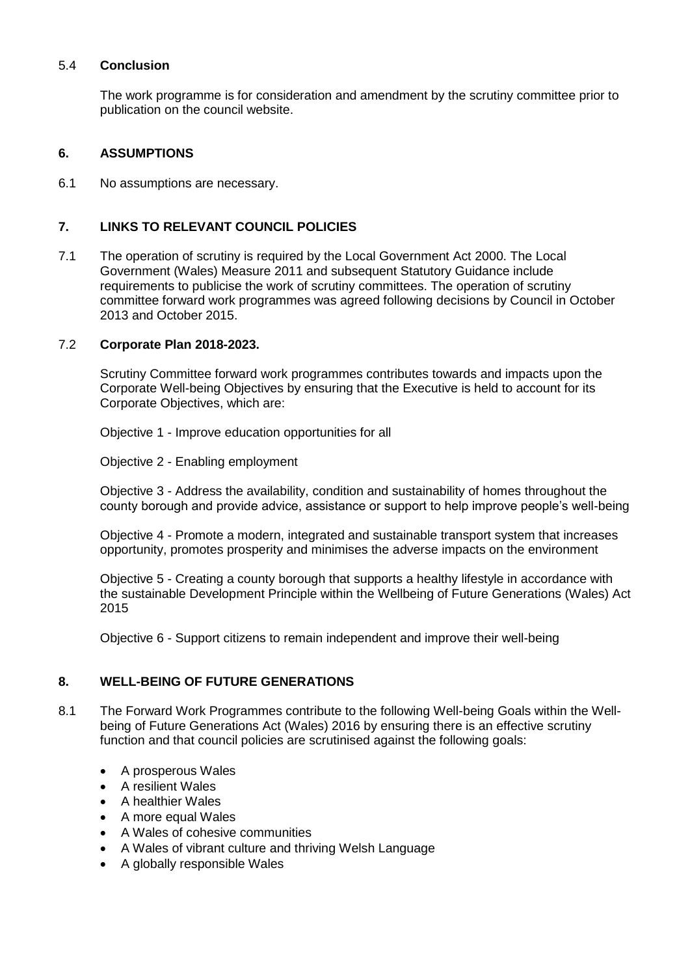#### 5.4 **Conclusion**

The work programme is for consideration and amendment by the scrutiny committee prior to publication on the council website.

## **6. ASSUMPTIONS**

6.1 No assumptions are necessary.

## **7. LINKS TO RELEVANT COUNCIL POLICIES**

7.1 The operation of scrutiny is required by the Local Government Act 2000. The Local Government (Wales) Measure 2011 and subsequent Statutory Guidance include requirements to publicise the work of scrutiny committees. The operation of scrutiny committee forward work programmes was agreed following decisions by Council in October 2013 and October 2015.

## 7.2 **Corporate Plan 2018-2023.**

Scrutiny Committee forward work programmes contributes towards and impacts upon the Corporate Well-being Objectives by ensuring that the Executive is held to account for its Corporate Objectives, which are:

Objective 1 - Improve education opportunities for all

Objective 2 - Enabling employment

Objective 3 - Address the availability, condition and sustainability of homes throughout the county borough and provide advice, assistance or support to help improve people's well-being

Objective 4 - Promote a modern, integrated and sustainable transport system that increases opportunity, promotes prosperity and minimises the adverse impacts on the environment

Objective 5 - Creating a county borough that supports a healthy lifestyle in accordance with the sustainable Development Principle within the Wellbeing of Future Generations (Wales) Act 2015

Objective 6 - Support citizens to remain independent and improve their well-being

## **8. WELL-BEING OF FUTURE GENERATIONS**

- 8.1 The Forward Work Programmes contribute to the following Well-being Goals within the Wellbeing of Future Generations Act (Wales) 2016 by ensuring there is an effective scrutiny function and that council policies are scrutinised against the following goals:
	- A prosperous Wales
	- A resilient Wales
	- A healthier Wales
	- A more equal Wales
	- A Wales of cohesive communities
	- A Wales of vibrant culture and thriving Welsh Language
	- A globally responsible Wales